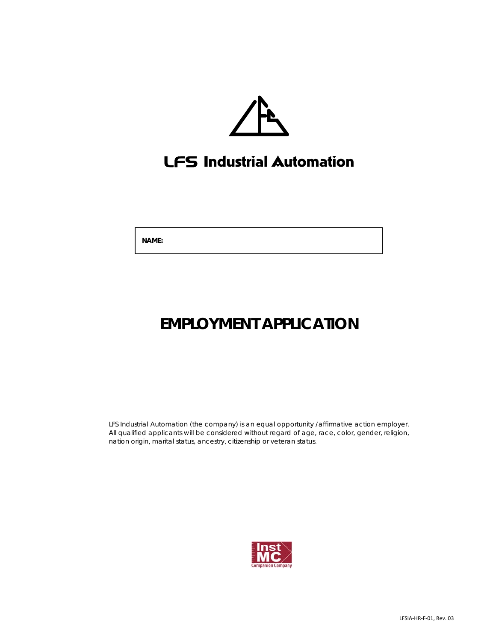

# LFS Industrial Automation

 **NAME:**

# **EMPLOYMENT APPLICATION**

LFS Industrial Automation (the company) is an equal opportunity /affirmative action employer. All qualified applicants will be considered without regard of age, race, color, gender, religion, nation origin, marital status, ancestry, citizenship or veteran status.

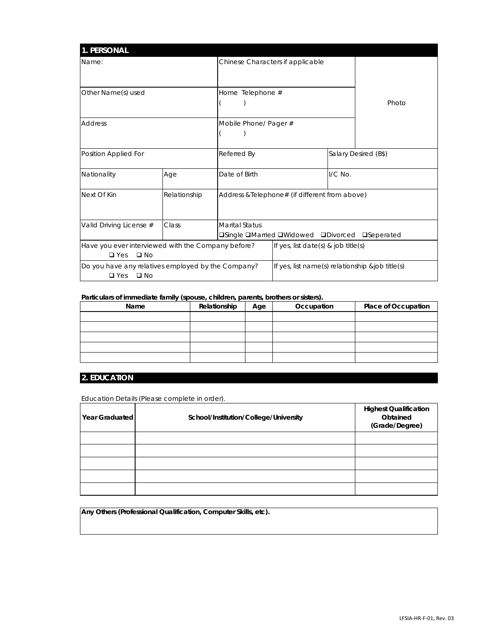| <b>1. PERSONAL</b>                                 |  |                                                       |                                                 |  |                      |
|----------------------------------------------------|--|-------------------------------------------------------|-------------------------------------------------|--|----------------------|
| Name:                                              |  |                                                       | Chinese Characters if applicable                |  |                      |
|                                                    |  |                                                       |                                                 |  |                      |
| Other Name(s) used                                 |  | Home Telephone #                                      |                                                 |  |                      |
|                                                    |  |                                                       |                                                 |  | Photo                |
| <b>Address</b>                                     |  | Mobile Phone/ Pager #                                 |                                                 |  |                      |
|                                                    |  |                                                       |                                                 |  |                      |
| Position Applied For                               |  | Referred By                                           |                                                 |  | Salary Desired (B\$) |
| Nationality<br>Age                                 |  | Date of Birth                                         | $1/C$ No.                                       |  |                      |
| Next Of Kin<br>Relationship                        |  |                                                       | Address & Telephone# (if different from above)  |  |                      |
|                                                    |  |                                                       |                                                 |  |                      |
| Class<br>Valid Driving License #                   |  | <b>Marital Status</b>                                 |                                                 |  |                      |
|                                                    |  | <b>□Single □Married □Widowed □Divorced □Seperated</b> |                                                 |  |                      |
| Have you ever interviewed with the Company before? |  |                                                       | If yes, list date(s) & job title(s)             |  |                      |
| $\square$ Yes<br>$\square$ No                      |  |                                                       |                                                 |  |                      |
| Do you have any relatives employed by the Company? |  |                                                       | If yes, list name(s) relationship &job title(s) |  |                      |
| $\Box$ No<br>$\Box$ Yes                            |  |                                                       |                                                 |  |                      |

### **Particulars of immediate family (spouse, children, parents, brothers or sisters).**

| .<br>Name | Relationship | Age | Occupation | <b>Place of Occupation</b> |
|-----------|--------------|-----|------------|----------------------------|
|           |              |     |            |                            |
|           |              |     |            |                            |
|           |              |     |            |                            |
|           |              |     |            |                            |
|           |              |     |            |                            |

### **2. EDUCATION**

Education Details (Please complete in order).

| Year Graduated | School/Institution/College/University | <b>Highest Qualification</b><br>Obtained<br>(Grade/Degree) |
|----------------|---------------------------------------|------------------------------------------------------------|
|                |                                       |                                                            |
|                |                                       |                                                            |
|                |                                       |                                                            |
|                |                                       |                                                            |
|                |                                       |                                                            |

**Any Others (Professional Qualification, Computer Skills, etc).**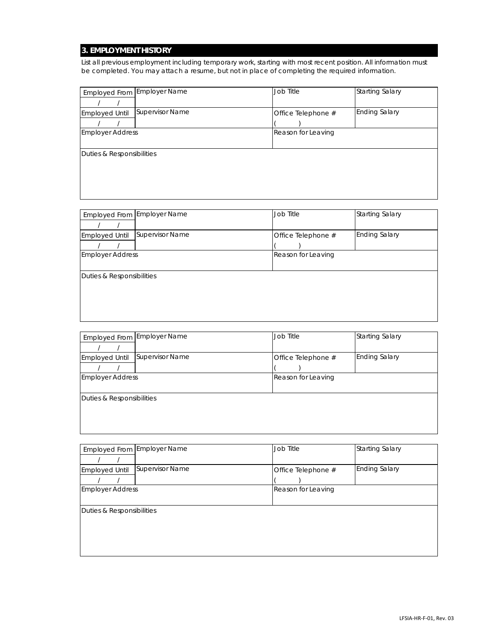## **3. EMPLOYMENT HISTORY**

List all previous employment including temporary work, starting with most recent position. All information must be completed. You may attach a resume, but not in place of completing the required information.

|                           | Employed From Employer Name | Job Title          | <b>Starting Salary</b> |
|---------------------------|-----------------------------|--------------------|------------------------|
|                           |                             |                    |                        |
| <b>Employed Until</b>     | Supervisor Name             | Office Telephone # | <b>Ending Salary</b>   |
|                           |                             |                    |                        |
| <b>Employer Address</b>   |                             | Reason for Leaving |                        |
|                           |                             |                    |                        |
| Duties & Responsibilities |                             |                    |                        |
|                           |                             |                    |                        |
|                           |                             |                    |                        |
|                           |                             |                    |                        |
|                           |                             |                    |                        |

|                           | Employed From Employer Name | Job Title          | <b>Starting Salary</b> |
|---------------------------|-----------------------------|--------------------|------------------------|
|                           |                             |                    |                        |
| Employed Until            | Supervisor Name             | Office Telephone # | <b>Ending Salary</b>   |
|                           |                             |                    |                        |
| <b>Employer Address</b>   |                             | Reason for Leaving |                        |
|                           |                             |                    |                        |
| Duties & Responsibilities |                             |                    |                        |
|                           |                             |                    |                        |
|                           |                             |                    |                        |
|                           |                             |                    |                        |
|                           |                             |                    |                        |

|                           | Employed From Employer Name | Job Title          | <b>Starting Salary</b> |  |
|---------------------------|-----------------------------|--------------------|------------------------|--|
|                           |                             |                    |                        |  |
| <b>Employed Until</b>     | Supervisor Name             | Office Telephone # | <b>Ending Salary</b>   |  |
|                           |                             |                    |                        |  |
| <b>Employer Address</b>   |                             | Reason for Leaving |                        |  |
|                           |                             |                    |                        |  |
| Duties & Responsibilities |                             |                    |                        |  |
|                           |                             |                    |                        |  |
|                           |                             |                    |                        |  |
|                           |                             |                    |                        |  |

|                           | Employed From Employer Name | Job Title          | <b>Starting Salary</b> |  |  |
|---------------------------|-----------------------------|--------------------|------------------------|--|--|
|                           |                             |                    |                        |  |  |
| <b>Employed Until</b>     | Supervisor Name             | Office Telephone # | <b>Ending Salary</b>   |  |  |
|                           |                             |                    |                        |  |  |
| <b>Employer Address</b>   |                             | Reason for Leaving |                        |  |  |
|                           |                             |                    |                        |  |  |
| Duties & Responsibilities |                             |                    |                        |  |  |
|                           |                             |                    |                        |  |  |
|                           |                             |                    |                        |  |  |
|                           |                             |                    |                        |  |  |
|                           |                             |                    |                        |  |  |